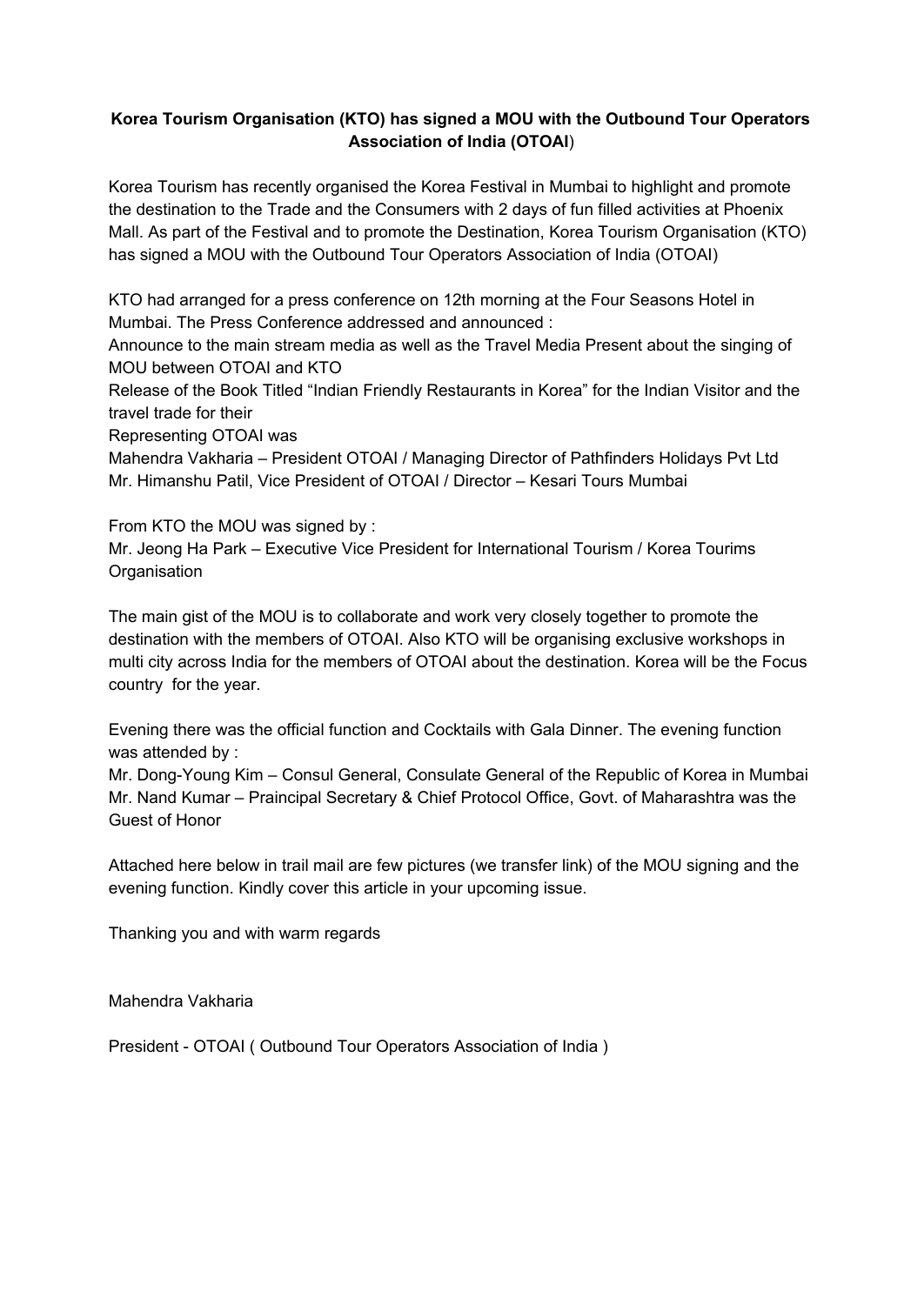## **Korea Tourism Organisation (KTO) has signed a MOU with the Outbound Tour Operators Association of India (OTOAI**)

Korea Tourism has recently organised the Korea Festival in Mumbai to highlight and promote the destination to the Trade and the Consumers with 2 days of fun filled activities at Phoenix Mall. As part of the Festival and to promote the Destination, Korea Tourism Organisation (KTO) has signed a MOU with the Outbound Tour Operators Association of India (OTOAI)

KTO had arranged for a press conference on 12th morning at the Four Seasons Hotel in Mumbai. The Press Conference addressed and announced :

Announce to the main stream media as well as the Travel Media Present about the singing of MOU between OTOAI and KTO

Release of the Book Titled "Indian Friendly Restaurants in Korea" for the Indian Visitor and the travel trade for their

Representing OTOAI was

Mahendra Vakharia – President OTOAI / Managing Director of Pathfinders Holidays Pvt Ltd Mr. Himanshu Patil, Vice President of OTOAI / Director – Kesari Tours Mumbai

From KTO the MOU was signed by :

Mr. Jeong Ha Park – Executive Vice President for International Tourism / Korea Tourims **Organisation** 

The main gist of the MOU is to collaborate and work very closely together to promote the destination with the members of OTOAI. Also KTO will be organising exclusive workshops in multi city across India for the members of OTOAI about the destination. Korea will be the Focus country for the year.

Evening there was the official function and Cocktails with Gala Dinner. The evening function was attended by :

Mr. Dong-Young Kim – Consul General, Consulate General of the Republic of Korea in Mumbai Mr. Nand Kumar – Praincipal Secretary & Chief Protocol Office, Govt. of Maharashtra was the Guest of Honor

Attached here below in trail mail are few pictures (we transfer link) of the MOU signing and the evening function. Kindly cover this article in your upcoming issue.

Thanking you and with warm regards

Mahendra Vakharia

President - OTOAI ( Outbound Tour Operators Association of India )